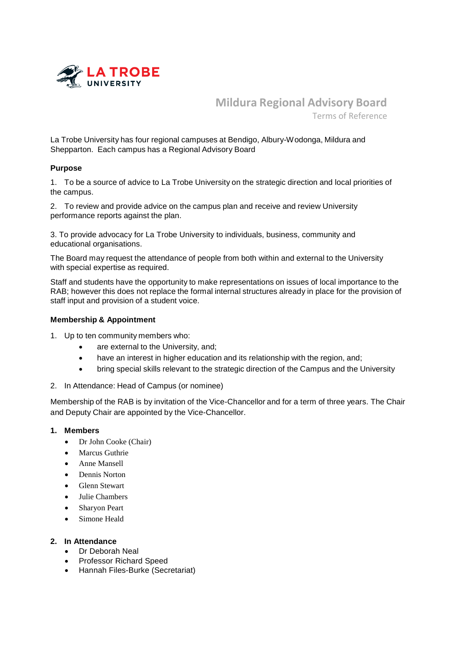

**Mildura Regional Advisory Board** Terms of Reference

La Trobe University has four regional campuses at Bendigo, Albury-Wodonga, Mildura and Shepparton. Each campus has a Regional Advisory Board

## **Purpose**

1. To be a source of advice to La Trobe University on the strategic direction and local priorities of the campus.

2. To review and provide advice on the campus plan and receive and review University performance reports against the plan.

3. To provide advocacy for La Trobe University to individuals, business, community and educational organisations.

The Board may request the attendance of people from both within and external to the University with special expertise as required.

Staff and students have the opportunity to make representations on issues of local importance to the RAB; however this does not replace the formal internal structures already in place for the provision of staff input and provision of a student voice.

#### **Membership & Appointment**

- 1. Up to ten community members who:
	- are external to the University, and;
	- have an interest in higher education and its relationship with the region, and;
	- bring special skills relevant to the strategic direction of the Campus and the University
- 2. In Attendance: Head of Campus (or nominee)

Membership of the RAB is by invitation of the Vice-Chancellor and for a term of three years. The Chair and Deputy Chair are appointed by the Vice-Chancellor.

## **1. Members**

- Dr John Cooke (Chair)
- Marcus Guthrie
- Anne Mansell
- Dennis Norton
- Glenn Stewart
- Julie Chambers
- Sharyon Peart
- Simone Heald

# **2. In Attendance**

- Dr Deborah Neal
- Professor Richard Speed
- Hannah Files-Burke (Secretariat)